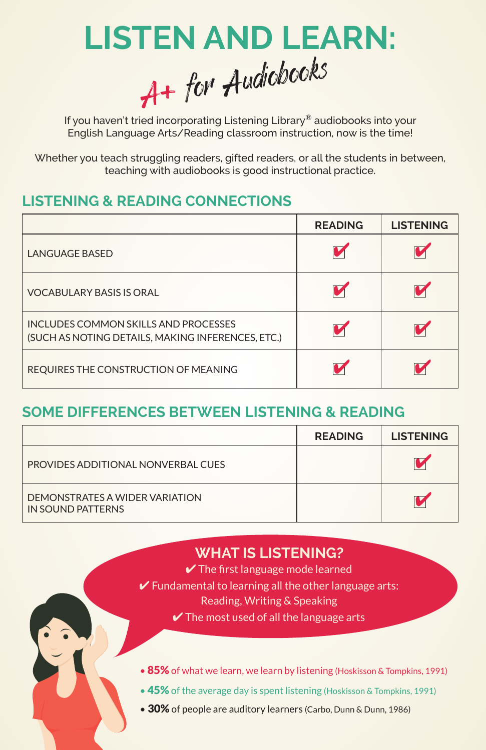

If you haven't tried incorporating Listening Library® audiobooks into your English Language Arts/Reading classroom instruction, now is the time!

Whether you teach struggling readers, gifted readers, or all the students in between, teaching with audiobooks is good instructional practice.

## **LISTENING & READING CONNECTIONS**

|                                                                                           | <b>READING</b> | <b>LISTENING</b> |
|-------------------------------------------------------------------------------------------|----------------|------------------|
| <b>LANGUAGE BASED</b>                                                                     |                |                  |
| <b>VOCABULARY BASIS IS ORAL</b>                                                           |                |                  |
| INCLUDES COMMON SKILLS AND PROCESSES<br>(SUCH AS NOTING DETAILS, MAKING INFERENCES, ETC.) |                |                  |
| REQUIRES THE CONSTRUCTION OF MEANING                                                      |                |                  |

# **SOME DIFFERENCES BETWEEN LISTENING & READING**

|                                                     | <b>READING</b> | <b>LISTENING</b> |
|-----------------------------------------------------|----------------|------------------|
| PROVIDES ADDITIONAL NONVERBAL CUES                  |                |                  |
| DEMONSTRATES A WIDER VARIATION<br>IN SOUND PATTERNS |                |                  |

# **WHAT IS LISTENING?**

- $\vee$  The first language mode learned
- $\vee$  Fundamental to learning all the other language arts:
	- Reading, Writing & Speaking
	- $\vee$  The most used of all the language arts
- 85% of what we learn, we learn by listening (Hoskisson & Tompkins, 1991)
- 45% of the average day is spent listening (Hoskisson & Tompkins, 1991)
- 30% of people are auditory learners (Carbo, Dunn & Dunn, 1986)